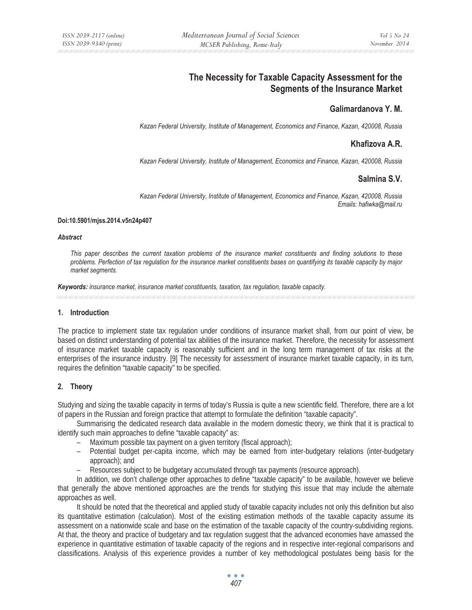# **The Necessity for Taxable Capacity Assessment for the Segments of the Insurance Market**

# **Galimardanova Y. M.**

*Kazan Federal University, Institute of Management, Economics and Finance, Kazan, 420008, Russia* 

# **Khafizova A.R.**

*Kazan Federal University, Institute of Management, Economics and Finance, Kazan, 420008, Russia* 

### **Salmina S.V.**

*Kazan Federal University, Institute of Management, Economics and Finance, Kazan, 420008, Russia Emails: hafiwka@mail.ru* 

#### **Doi:10.5901/mjss.2014.v5n24p407**

#### *Abstract*

*This paper describes the current taxation problems of the insurance market constituents and finding solutions to these problems. Perfection of tax regulation for the insurance market constituents bases on quantifying its taxable capacity by major market segments.* 

*Keywords: insurance market, insurance market constituents, taxation, tax regulation, taxable capacity.* 

### **1. Introduction**

The practice to implement state tax regulation under conditions of insurance market shall, from our point of view, be based on distinct understanding of potential tax abilities of the insurance market. Therefore, the necessity for assessment of insurance market taxable capacity is reasonably sufficient and in the long term management of tax risks at the enterprises of the insurance industry. [9] The necessity for assessment of insurance market taxable capacity, in its turn, requires the definition "taxable capacity" to be specified.

### **2. Theory**

Studying and sizing the taxable capacity in terms of today's Russia is quite a new scientific field. Therefore, there are a lot of papers in the Russian and foreign practice that attempt to formulate the definition "taxable capacity".

Summarising the dedicated research data available in the modern domestic theory, we think that it is practical to identify such main approaches to define "taxable capacity" as:

- Maximum possible tax payment on a given territory (fiscal approach);
- Potential budget per-capita income, which may be earned from inter-budgetary relations (inter-budgetary approach); and
- Resources subject to be budgetary accumulated through tax payments (resource approach).

In addition, we don't challenge other approaches to define "taxable capacity" to be available, however we believe that generally the above mentioned approaches are the trends for studying this issue that may include the alternate approaches as well.

It should be noted that the theoretical and applied study of taxable capacity includes not only this definition but also its quantitative estimation (calculation). Most of the existing estimation methods of the taxable capacity assume its assessment on a nationwide scale and base on the estimation of the taxable capacity of the country-subdividing regions. At that, the theory and practice of budgetary and tax regulation suggest that the advanced economies have amassed the experience in quantitative estimation of taxable capacity of the regions and in respective inter-regional comparisons and classifications. Analysis of this experience provides a number of key methodological postulates being basis for the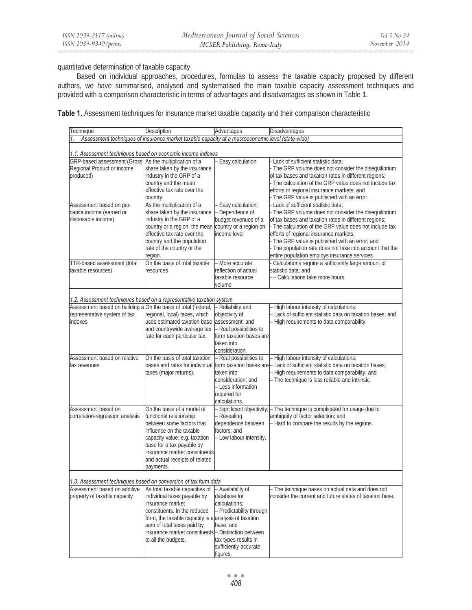quantitative determination of taxable capacity.

Based on individual approaches, procedures, formulas to assess the taxable capacity proposed by different authors, we have summarised, analysed and systematised the main taxable capacity assessment techniques and provided with a comparison characteristic in terms of advantages and disadvantages as shown in Table 1.

**Table 1.** Assessment techniques for insurance market taxable capacity and their comparison characteristic

| Technique                                                                                       | Description                                                                                      | Advantages                               | Disadvantages                                                                                        |
|-------------------------------------------------------------------------------------------------|--------------------------------------------------------------------------------------------------|------------------------------------------|------------------------------------------------------------------------------------------------------|
| $\mathcal{I}$                                                                                   | Assessment techniques of insurance market taxable capacity at a macroeconomic level (state-wide) |                                          |                                                                                                      |
| 1.1. Assessment techniques based on economic income indexes                                     |                                                                                                  |                                          |                                                                                                      |
| GRP-based assessment (Gross As the multiplication of a                                          |                                                                                                  | - Easy calculation                       | Lack of sufficient statistic data;                                                                   |
| Regional Product or income                                                                      | share taken by the insurance                                                                     |                                          | The GRP volume does not consider the disequilibrium                                                  |
| produced)                                                                                       | industry in the GRP of a                                                                         |                                          | of tax bases and taxation rates in different regions;                                                |
|                                                                                                 | country and the mean                                                                             |                                          | The calculation of the GRP value does not include tax                                                |
|                                                                                                 | effective tax rate over the                                                                      |                                          | efforts of regional insurance markets; and                                                           |
|                                                                                                 | country.                                                                                         |                                          | The GRP value is published with an error.                                                            |
| Assessment based on per-                                                                        | As the multiplication of a                                                                       | - Easy calculation;                      | Lack of sufficient statistic data:                                                                   |
| capita income (earned or                                                                        | share taken by the insurance                                                                     | Dependence of                            | The GRP volume does not consider the disequilibrium                                                  |
| disposable income)                                                                              | industry in the GRP of a                                                                         | budget revenues of a                     | of tax bases and taxation rates in different regions;                                                |
|                                                                                                 | country or a region, the mean                                                                    | country or a region on                   | The calculation of the GRP value does not include tax                                                |
|                                                                                                 | effective tax rate over the                                                                      | income level                             | efforts of regional insurance markets;                                                               |
|                                                                                                 | country and the population                                                                       |                                          | The GRP value is published with an error; and                                                        |
|                                                                                                 | rate of the country or the                                                                       |                                          | The population rate does not take into account that the                                              |
|                                                                                                 | region.                                                                                          |                                          | entire population employs insurance services                                                         |
| TTR-based assessment (total                                                                     | On the basis of total taxable                                                                    | - More accurate                          | Calculations require a sufficiently large amount of<br>statistic data; and                           |
| taxable resources)                                                                              | resources                                                                                        | reflection of actual<br>taxable resource | - Calculations take more hours.                                                                      |
|                                                                                                 |                                                                                                  | volume                                   |                                                                                                      |
|                                                                                                 |                                                                                                  |                                          |                                                                                                      |
| 1.2. Assessment techniques based on a representative taxation system                            |                                                                                                  |                                          |                                                                                                      |
| Assessment based on building a On the basis of total (federal,                                  |                                                                                                  | - Reliability and                        | High labour intensity of calculations;                                                               |
| representative system of tax<br>indexes                                                         | regional, local) taxes, which<br>uses estimated taxation base                                    | objectivity of<br>assessment: and        | Lack of sufficient statistic data on taxation bases; and<br>High requirements to data comparability. |
|                                                                                                 | and countrywide average tax                                                                      | - Real possibilities to                  |                                                                                                      |
|                                                                                                 | rate for each particular tax.                                                                    | form taxation bases are                  |                                                                                                      |
|                                                                                                 |                                                                                                  | taken into                               |                                                                                                      |
|                                                                                                 |                                                                                                  | consideration.                           |                                                                                                      |
| Assessment based on relative                                                                    | On the basis of total taxation                                                                   | - Real possibilities to                  | High labour intensity of calculations;                                                               |
| tax revenues                                                                                    | bases and rates for individual                                                                   | form taxation bases are                  | Lack of sufficient statistic data on taxation bases:                                                 |
|                                                                                                 | taxes (major returns).                                                                           | taken into                               | High requirements to data comparability; and                                                         |
|                                                                                                 |                                                                                                  | consideration; and                       | - The technique is less reliable and intrinsic.                                                      |
|                                                                                                 |                                                                                                  | - Less information                       |                                                                                                      |
|                                                                                                 |                                                                                                  | required for                             |                                                                                                      |
|                                                                                                 |                                                                                                  | calculations.                            |                                                                                                      |
| Assessment based on                                                                             | On the basis of a model of                                                                       | Significant objectivity;                 | - The technique is complicated for usage due to                                                      |
| correlation-regression analysis                                                                 | functional relationship                                                                          | - Revealing<br>dependence between        | ambiguity of factor selection; and                                                                   |
|                                                                                                 | between some factors that<br>linfluence on the taxable                                           | factors: and                             | - Hard to compare the results by the regions.                                                        |
|                                                                                                 | capacity value, e.g. taxation                                                                    | - Low labour intensity.                  |                                                                                                      |
|                                                                                                 | base for a tax payable by                                                                        |                                          |                                                                                                      |
|                                                                                                 | insurance market constituents                                                                    |                                          |                                                                                                      |
|                                                                                                 | and actual receipts of related                                                                   |                                          |                                                                                                      |
|                                                                                                 | payments.                                                                                        |                                          |                                                                                                      |
|                                                                                                 |                                                                                                  |                                          |                                                                                                      |
| 1.3. Assessment techniques based on conversion of tax form data<br>Assessment based on additive | As total taxable capacities of                                                                   | - Availability of                        | The technique bases on actual data and does not                                                      |
| property of taxable capacity                                                                    | individual taxes payable by                                                                      | database for                             | consider the current and future states of taxation base.                                             |
|                                                                                                 | insurance market                                                                                 | calculations:                            |                                                                                                      |
|                                                                                                 | constituents. In the reduced                                                                     | - Predictability through                 |                                                                                                      |
|                                                                                                 | form, the taxable capacity is a analysis of taxation                                             |                                          |                                                                                                      |
|                                                                                                 | sum of total taxes paid by                                                                       | base; and                                |                                                                                                      |
|                                                                                                 | insurance market constituents- Distinction between                                               |                                          |                                                                                                      |
|                                                                                                 | to all the budgets.                                                                              | tax types results in                     |                                                                                                      |
|                                                                                                 |                                                                                                  | sufficiently accurate                    |                                                                                                      |
|                                                                                                 |                                                                                                  | figures.                                 |                                                                                                      |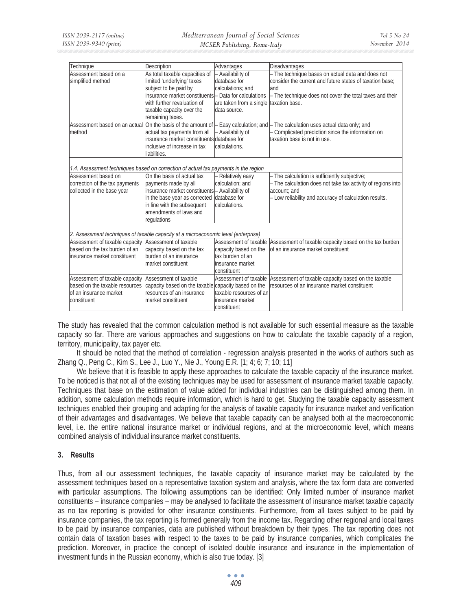| Technique                                                                              | Description                                                                      | Advantages                                | Disadvantages                                                                                       |
|----------------------------------------------------------------------------------------|----------------------------------------------------------------------------------|-------------------------------------------|-----------------------------------------------------------------------------------------------------|
| Assessment based on a                                                                  | As total taxable capacities of                                                   | - Availability of                         | - The technique bases on actual data and does not                                                   |
| simplified method                                                                      | limited 'underlying' taxes                                                       | database for                              | consider the current and future states of taxation base:                                            |
|                                                                                        | subject to be paid by                                                            | calculations; and                         | and                                                                                                 |
|                                                                                        | insurance market constituents- Data for calculations                             |                                           | - The technique does not cover the total taxes and their                                            |
|                                                                                        | with further revaluation of                                                      | are taken from a single                   | taxation base.                                                                                      |
|                                                                                        | taxable capacity over the                                                        | data source.                              |                                                                                                     |
|                                                                                        | remaining taxes.                                                                 |                                           |                                                                                                     |
| Assessment based on an actual On the basis of the amount of -                          |                                                                                  |                                           | Easy calculation; and - The calculation uses actual data only; and                                  |
| method                                                                                 | actual tax payments from all                                                     | - Availability of                         | - Complicated prediction since the information on                                                   |
|                                                                                        | insurance market constituents database for                                       |                                           | taxation base is not in use.                                                                        |
|                                                                                        | inclusive of increase in tax                                                     | calculations.                             |                                                                                                     |
|                                                                                        | liabilities.                                                                     |                                           |                                                                                                     |
|                                                                                        |                                                                                  |                                           |                                                                                                     |
| 1.4. Assessment techniques based on correction of actual tax payments in the region    |                                                                                  |                                           |                                                                                                     |
| Assessment based on                                                                    | On the basis of actual tax                                                       | Relatively easy                           | - The calculation is sufficiently subjective;                                                       |
| correction of the tax payments                                                         | payments made by all                                                             | calculation: and                          | - The calculation does not take tax activity of regions into                                        |
| collected in the base year                                                             | insurance market constituents- Availability of                                   |                                           | account: and                                                                                        |
|                                                                                        | in the base year as corrected                                                    | database for                              | - Low reliability and accuracy of calculation results.                                              |
|                                                                                        | in line with the subsequent                                                      | calculations.                             |                                                                                                     |
|                                                                                        | amendments of laws and                                                           |                                           |                                                                                                     |
|                                                                                        | regulations                                                                      |                                           |                                                                                                     |
|                                                                                        |                                                                                  |                                           |                                                                                                     |
| 2. Assessment techniques of taxable capacity at a microeconomic level (enterprise)     |                                                                                  |                                           |                                                                                                     |
| Assessment of taxable capacity                                                         | Assessment of taxable                                                            | Assessment of taxable                     | Assessment of taxable capacity based on the tax burden                                              |
| based on the tax burden of an                                                          | capacity based on the tax<br>burden of an insurance                              | capacity based on the<br>tax burden of an | of an insurance market constituent                                                                  |
| linsurance market constituent                                                          | market constituent                                                               | insurance market                          |                                                                                                     |
|                                                                                        |                                                                                  | constituent                               |                                                                                                     |
|                                                                                        |                                                                                  |                                           |                                                                                                     |
| Assessment of taxable capacity Assessment of taxable<br>based on the taxable resources |                                                                                  | Assessment of taxable                     | Assessment of taxable capacity based on the taxable<br>resources of an insurance market constituent |
| of an insurance market                                                                 | capacity based on the taxable capacity based on the<br>resources of an insurance | taxable resources of an                   |                                                                                                     |
| constituent                                                                            | market constituent                                                               | insurance market                          |                                                                                                     |
|                                                                                        |                                                                                  | constituent                               |                                                                                                     |
|                                                                                        |                                                                                  |                                           |                                                                                                     |

The study has revealed that the common calculation method is not available for such essential measure as the taxable capacity so far. There are various approaches and suggestions on how to calculate the taxable capacity of a region, territory, municipality, tax payer etc.

It should be noted that the method of correlation - regression analysis presented in the works of authors such as Zhang Q., Peng C., Kim S., Lee J., Luo Y., Nie J., Young E.R. [1; 4; 6; 7; 10; 11]

We believe that it is feasible to apply these approaches to calculate the taxable capacity of the insurance market. To be noticed is that not all of the existing techniques may be used for assessment of insurance market taxable capacity. Techniques that base on the estimation of value added for individual industries can be distinguished among them. In addition, some calculation methods require information, which is hard to get. Studying the taxable capacity assessment techniques enabled their grouping and adapting for the analysis of taxable capacity for insurance market and verification of their advantages and disadvantages. We believe that taxable capacity can be analysed both at the macroeconomic level, i.e. the entire national insurance market or individual regions, and at the microeconomic level, which means combined analysis of individual insurance market constituents.

### **3. Results**

Thus, from all our assessment techniques, the taxable capacity of insurance market may be calculated by the assessment techniques based on a representative taxation system and analysis, where the tax form data are converted with particular assumptions. The following assumptions can be identified: Only limited number of insurance market constituents – insurance companies – may be analysed to facilitate the assessment of insurance market taxable capacity as no tax reporting is provided for other insurance constituents. Furthermore, from all taxes subject to be paid by insurance companies, the tax reporting is formed generally from the income tax. Regarding other regional and local taxes to be paid by insurance companies, data are published without breakdown by their types. The tax reporting does not contain data of taxation bases with respect to the taxes to be paid by insurance companies, which complicates the prediction. Moreover, in practice the concept of isolated double insurance and insurance in the implementation of investment funds in the Russian economy, which is also true today. [3]

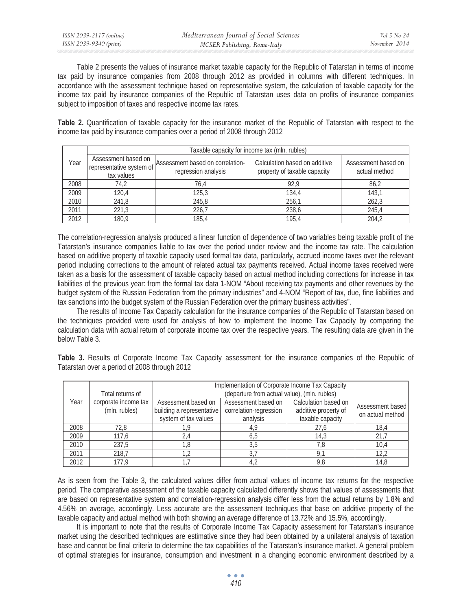Table 2 presents the values of insurance market taxable capacity for the Republic of Tatarstan in terms of income tax paid by insurance companies from 2008 through 2012 as provided in columns with different techniques. In accordance with the assessment technique based on representative system, the calculation of taxable capacity for the income tax paid by insurance companies of the Republic of Tatarstan uses data on profits of insurance companies subject to imposition of taxes and respective income tax rates.

**Table 2.** Quantification of taxable capacity for the insurance market of the Republic of Tatarstan with respect to the income tax paid by insurance companies over a period of 2008 through 2012

|      | Taxable capacity for income tax (mln. rubles) |                                                                                    |                                                               |                                      |  |
|------|-----------------------------------------------|------------------------------------------------------------------------------------|---------------------------------------------------------------|--------------------------------------|--|
| Year | tax values                                    | I representative system of Assessment based on correlation-<br>regression analysis | Calculation based on additive<br>property of taxable capacity | Assessment based on<br>actual method |  |
| 2008 | 74.2                                          | 76.4                                                                               | 92.9                                                          | 86.2                                 |  |
| 2009 | 120,4                                         | 125,3                                                                              | 134,4                                                         | 143,1                                |  |
| 2010 | 241,8                                         | 245,8                                                                              | 256,1                                                         | 262,3                                |  |
| 2011 | 221.3                                         | 226,7                                                                              | 238,6                                                         | 245,4                                |  |
| 2012 | 180.9                                         | 185.4                                                                              | 195.4                                                         | 204.2                                |  |

The correlation-regression analysis produced a linear function of dependence of two variables being taxable profit of the Tatarstan's insurance companies liable to tax over the period under review and the income tax rate. The calculation based on additive property of taxable capacity used formal tax data, particularly, accrued income taxes over the relevant period including corrections to the amount of related actual tax payments received. Actual income taxes received were taken as a basis for the assessment of taxable capacity based on actual method including corrections for increase in tax liabilities of the previous year: from the formal tax data 1-NOM "About receiving tax payments and other revenues by the budget system of the Russian Federation from the primary industries" and 4-NOM "Report of tax, due, fine liabilities and tax sanctions into the budget system of the Russian Federation over the primary business activities".

The results of Income Tax Capacity calculation for the insurance companies of the Republic of Tatarstan based on the techniques provided were used for analysis of how to implement the Income Tax Capacity by comparing the calculation data with actual return of corporate income tax over the respective years. The resulting data are given in the below Table 3.

**Table 3.** Results of Corporate Income Tax Capacity assessment for the insurance companies of the Republic of Tatarstan over a period of 2008 through 2012

|                  |                      |                                              | Implementation of Corporate Income Tax Capacity |                      |                  |  |
|------------------|----------------------|----------------------------------------------|-------------------------------------------------|----------------------|------------------|--|
| Total returns of |                      | (departure from actual value), (mln. rubles) |                                                 |                      |                  |  |
| Year             | corporate income tax | Assessment based on                          | Assessment based on                             | Calculation based on | Assessment based |  |
|                  | (mln. rubles)        | building a representative                    | correlation-regression                          | additive property of | on actual method |  |
|                  |                      | system of tax values                         | analysis                                        | taxable capacity     |                  |  |
| 2008             | 72,8                 |                                              |                                                 | 27,6                 | 18.4             |  |
| 2009             | 117.6                |                                              | 6.5                                             | 14.3                 | 21.7             |  |
| 2010             | 237,5                |                                              | 3.5                                             | 7.8                  | 10.4             |  |
| 2011             | 218.7                |                                              |                                                 | 9.1                  | 12.2             |  |
| 2012             | 77.9                 |                                              |                                                 | 9,8                  | 14,8             |  |

As is seen from the Table 3, the calculated values differ from actual values of income tax returns for the respective period. The comparative assessment of the taxable capacity calculated differently shows that values of assessments that are based on representative system and correlation-regression analysis differ less from the actual returns by 1.8% and 4.56% on average, accordingly. Less accurate are the assessment techniques that base on additive property of the taxable capacity and actual method with both showing an average difference of 13.72% and 15.5%, accordingly.

It is important to note that the results of Corporate Income Tax Capacity assessment for Tatarstan's insurance market using the described techniques are estimative since they had been obtained by a unilateral analysis of taxation base and cannot be final criteria to determine the tax capabilities of the Tatarstan's insurance market. A general problem of optimal strategies for insurance, consumption and investment in a changing economic environment described by a